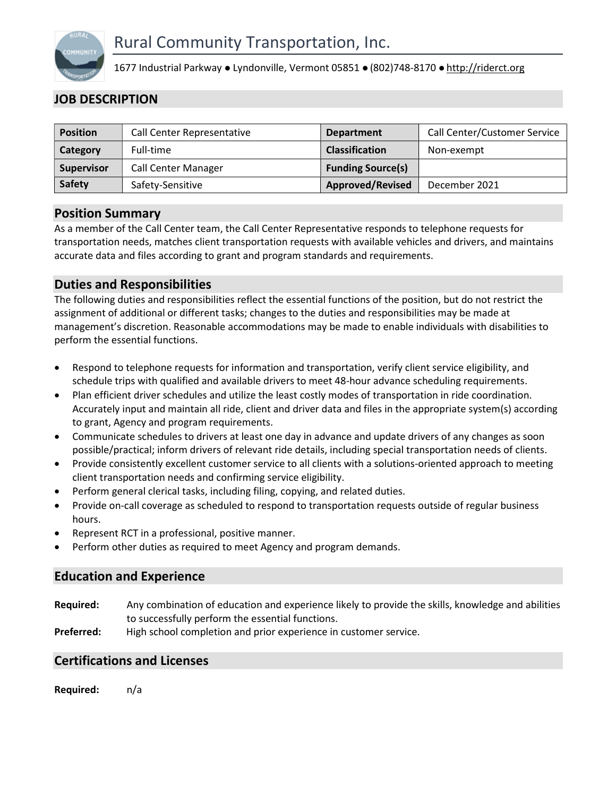

1677 Industrial Parkway • Lyndonville, Vermont 05851 • (802)748-8170 • http://riderct.org

# JOB DESCRIPTION

| <b>Position</b> | Call Center Representative | <b>Department</b>        | Call Center/Customer Service |
|-----------------|----------------------------|--------------------------|------------------------------|
| Category        | Full-time                  | <b>Classification</b>    | Non-exempt                   |
| Supervisor      | <b>Call Center Manager</b> | <b>Funding Source(s)</b> |                              |
| <b>Safety</b>   | Safety-Sensitive           | <b>Approved/Revised</b>  | December 2021                |
|                 |                            |                          |                              |

### Position Summary

As a member of the Call Center team, the Call Center Representative responds to telephone requests for transportation needs, matches client transportation requests with available vehicles and drivers, and maintains accurate data and files according to grant and program standards and requirements.

## Duties and Responsibilities

The following duties and responsibilities reflect the essential functions of the position, but do not restrict the assignment of additional or different tasks; changes to the duties and responsibilities may be made at management's discretion. Reasonable accommodations may be made to enable individuals with disabilities to perform the essential functions.

- Respond to telephone requests for information and transportation, verify client service eligibility, and schedule trips with qualified and available drivers to meet 48-hour advance scheduling requirements.
- Plan efficient driver schedules and utilize the least costly modes of transportation in ride coordination. Accurately input and maintain all ride, client and driver data and files in the appropriate system(s) according to grant, Agency and program requirements.
- Communicate schedules to drivers at least one day in advance and update drivers of any changes as soon possible/practical; inform drivers of relevant ride details, including special transportation needs of clients.
- Provide consistently excellent customer service to all clients with a solutions-oriented approach to meeting client transportation needs and confirming service eligibility.
- Perform general clerical tasks, including filing, copying, and related duties.
- Provide on-call coverage as scheduled to respond to transportation requests outside of regular business hours.
- Represent RCT in a professional, positive manner.
- Perform other duties as required to meet Agency and program demands.

## Education and Experience

- Required: Any combination of education and experience likely to provide the skills, knowledge and abilities to successfully perform the essential functions.
- Preferred: High school completion and prior experience in customer service.

#### Certifications and Licenses

Required: n/a